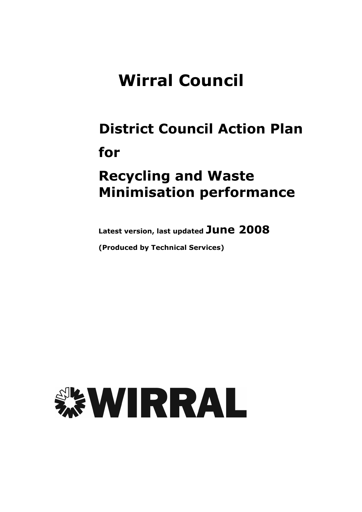# **Wirral Council**

## **District Council Action Plan** for

## **Recycling and Waste Minimisation performance**

Latest version, last updated June 2008

(Produced by Technical Services)

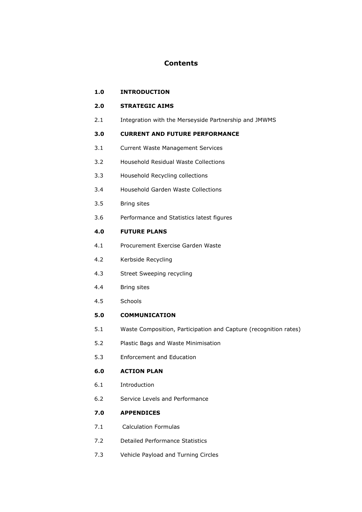### **Contents**

 $1.0$ **INTRODUCTION** 

#### $2.0$ **STRATEGIC AIMS**

 $2.1$ Integration with the Merseyside Partnership and JMWMS

#### **CURRENT AND FUTURE PERFORMANCE**  $3.0$

- $3.1$ **Current Waste Management Services**
- Household Residual Waste Collections  $3.2$
- $3.3$ Household Recycling collections
- $3.4$ Household Garden Waste Collections
- $3.5$ **Bring sites**
- $3.6$ Performance and Statistics latest figures

### $4.0$ **FUTURE PLANS**

- $4.1$ Procurement Exercise Garden Waste
- $4.2$ Kerbside Recycling
- $4.3$ Street Sweeping recycling
- $4.4$ **Bring sites**
- $4.5$ Schools

#### **COMMUNICATION**  $5.0$

- $5.1$ Waste Composition, Participation and Capture (recognition rates)
- $5.2$ Plastic Bags and Waste Minimisation
- $5.3$ Enforcement and Education

### 6.0 **ACTION PLAN**

- $6.1$ Introduction
- $6.2$ Service Levels and Performance

#### $7.0$ **APPENDICES**

- $7.1$ **Calculation Formulas**
- $7.2$ **Detailed Performance Statistics**
- $7.3$ Vehicle Payload and Turning Circles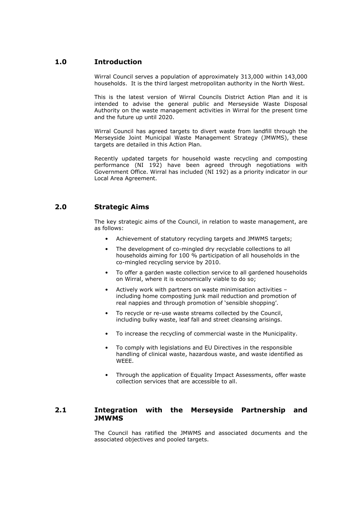### $1.0$ **Introduction**

Wirral Council serves a population of approximately 313,000 within 143,000 households. It is the third largest metropolitan authority in the North West.

This is the latest version of Wirral Councils District Action Plan and it is intended to advise the general public and Merseyside Waste Disposal Authority on the waste management activities in Wirral for the present time and the future up until 2020.

Wirral Council has agreed targets to divert waste from landfill through the Merseyside Joint Municipal Waste Management Strategy (JMWMS), these targets are detailed in this Action Plan.

Recently updated targets for household waste recycling and composting performance (NI 192) have been agreed through negotiations with Government Office. Wirral has included (NI 192) as a priority indicator in our Local Area Agreement.

### $2.0$ **Strategic Aims**

The key strategic aims of the Council, in relation to waste management, are as follows:

- Achievement of statutory recycling targets and JMWMS targets;
- The development of co-mingled dry recyclable collections to all households aiming for 100 % participation of all households in the co-mingled recycling service by 2010.
- To offer a garden waste collection service to all gardened households on Wirral, where it is economically viable to do so;
- Actively work with partners on waste minimisation activities including home composting junk mail reduction and promotion of real nappies and through promotion of 'sensible shopping'.
- To recycle or re-use waste streams collected by the Council, including bulky waste, leaf fall and street cleansing arisings.
- To increase the recycling of commercial waste in the Municipality.
- To comply with legislations and EU Directives in the responsible handling of clinical waste, hazardous waste, and waste identified as WEEE.
- Through the application of Equality Impact Assessments, offer waste collection services that are accessible to all.

### $2.1$ Integration with the Merseyside Partnership and **JMWMS**

The Council has ratified the JMWMS and associated documents and the associated objectives and pooled targets.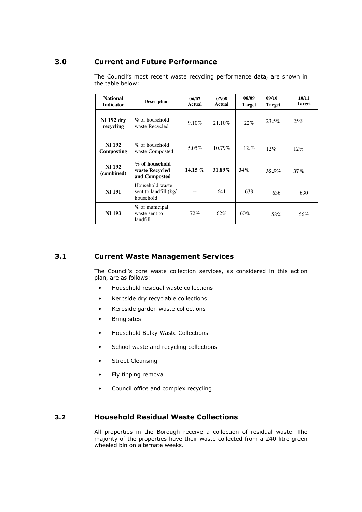### 3.0 Current and Future Performance

| <b>National</b><br><b>Indicator</b> | <b>Description</b>                                    | 06/07<br>Actual | 07/08<br>Actual | 08/09<br><b>Target</b> | 09/10<br><b>Target</b> | 10/11<br><b>Target</b> |
|-------------------------------------|-------------------------------------------------------|-----------------|-----------------|------------------------|------------------------|------------------------|
| <b>NI</b> 192 dry<br>recycling      | $\%$ of household<br>waste Recycled                   | 9.10%           | 21.10%          | 22%                    | 23.5%                  | 25%                    |
| <b>NI 192</b><br>Composting         | $\%$ of household<br>waste Composted                  | 5.05%           | $10.79\%$       | $12. \%$               | 12%                    | 12%                    |
| <b>NI 192</b><br>(combined)         | % of household<br>waste Recycled<br>and Composted     | 14.15 $%$       | 31.89%          | 34%                    | 35.5%                  | 37%                    |
| <b>NI 191</b>                       | Household waste<br>sent to landfill (kg/<br>household |                 | 641             | 638                    | 636                    | 630                    |
| <b>NI 193</b>                       | % of municipal<br>waste sent to<br>landfill           | 72%             | 62%             | 60%                    | 58%                    | 56%                    |

The Council's most recent waste recycling performance data, are shown in the table below:

### 3.1 Current Waste Management Services

The Council's core waste collection services, as considered in this action plan, are as follows:

- Household residual waste collections
- Kerbside dry recyclable collections
- Kerbside garden waste collections
- Bring sites
- Household Bulky Waste Collections
- School waste and recycling collections
- Street Cleansing
- Fly tipping removal
- Council office and complex recycling

### 3.2 Mousehold Residual Waste Collections

All properties in the Borough receive a collection of residual waste. The majority of the properties have their waste collected from a 240 litre green wheeled bin on alternate weeks.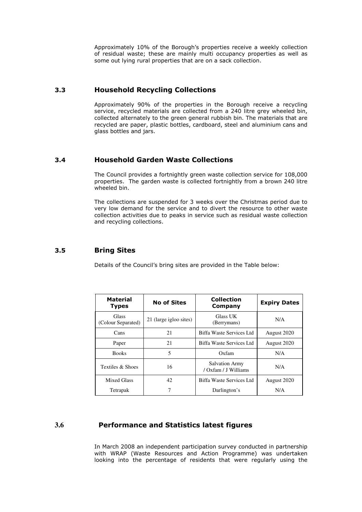Approximately 10% of the Borough's properties receive a weekly collection of residual waste; these are mainly multi occupancy properties as well as some out lying rural properties that are on a sack collection.

### /(/ 6 
\$

Approximately 90% of the properties in the Borough receive a recycling service, recycled materials are collected from a 240 litre grey wheeled bin, collected alternately to the green general rubbish bin. The materials that are recycled are paper, plastic bottles, cardboard, steel and aluminium cans and glass bottles and jars.

### 3.4 Household Garden Waste Collections

The Council provides a fortnightly green waste collection service for 108,000 properties. The garden waste is collected fortnightly from a brown 240 litre wheeled bin.

The collections are suspended for 3 weeks over the Christmas period due to very low demand for the service and to divert the resource to other waste collection activities due to peaks in service such as residual waste collection and recycling collections.

### 3.5 Bring Sites

Details of the Council's bring sites are provided in the Table below:

| <b>Material</b><br><b>Types</b>    | <b>No of Sites</b>     | <b>Collection</b><br>Company                  | <b>Expiry Dates</b> |  |
|------------------------------------|------------------------|-----------------------------------------------|---------------------|--|
| <b>Glass</b><br>(Colour Separated) | 21 (large igloo sites) | <b>Glass UK</b><br>(Berrymans)                | N/A                 |  |
| Cans                               | 21                     | Biffa Waste Services Ltd                      | August 2020         |  |
| Paper                              | 21                     | Biffa Waste Services Ltd                      | August 2020         |  |
| <b>Books</b>                       | 5                      | Oxfam                                         | N/A                 |  |
| Textiles & Shoes                   | 16                     | <b>Salvation Army</b><br>/ Oxfam / J Williams | N/A                 |  |
| <b>Mixed Glass</b>                 | 42                     | Biffa Waste Services Ltd                      | August 2020         |  |
| Tetrapak                           | 7                      | Darlington's                                  | N/A                 |  |

### 3.6 **Performance and Statistics latest figures**

In March 2008 an independent participation survey conducted in partnership with WRAP (Waste Resources and Action Programme) was undertaken looking into the percentage of residents that were regularly using the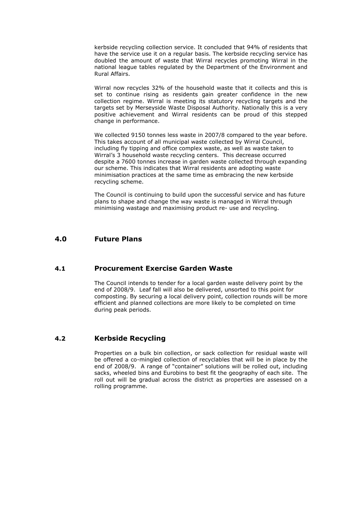kerbside recycling collection service. It concluded that 94% of residents that have the service use it on a regular basis. The kerbside recycling service has doubled the amount of waste that Wirral recycles promoting Wirral in the national league tables regulated by the Department of the Environment and Rural Affairs.

Wirral now recycles 32% of the household waste that it collects and this is set to continue rising as residents gain greater confidence in the new collection regime. Wirral is meeting its statutory recycling targets and the targets set by Merseyside Waste Disposal Authority. Nationally this is a very positive achievement and Wirral residents can be proud of this stepped change in performance.

We collected 9150 tonnes less waste in 2007/8 compared to the year before. This takes account of all municipal waste collected by Wirral Council, including fly tipping and office complex waste, as well as waste taken to Wirral's 3 household waste recycling centers. This decrease occurred despite a 7600 tonnes increase in garden waste collected through expanding our scheme. This indicates that Wirral residents are adopting waste minimisation practices at the same time as embracing the new kerbside recycling scheme.

The Council is continuing to build upon the successful service and has future plans to shape and change the way waste is managed in Wirral through minimising wastage and maximising product re- use and recycling.

### $4.0$ **Future Plans**

#### **Procurement Exercise Garden Waste**  $4.1$

The Council intends to tender for a local garden waste delivery point by the end of 2008/9. Leaf fall will also be delivered, unsorted to this point for composting. By securing a local delivery point, collection rounds will be more efficient and planned collections are more likely to be completed on time during peak periods.

### $4.2$ **Kerbside Recycling**

Properties on a bulk bin collection, or sack collection for residual waste will be offered a co-mingled collection of recyclables that will be in place by the end of 2008/9. A range of "container" solutions will be rolled out, including sacks, wheeled bins and Eurobins to best fit the geography of each site. The roll out will be gradual across the district as properties are assessed on a rolling programme.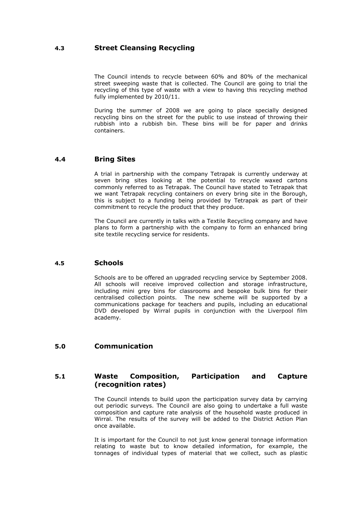### **Street Cleansing Recycling**  $4.3$

The Council intends to recycle between 60% and 80% of the mechanical street sweeping waste that is collected. The Council are going to trial the recycling of this type of waste with a view to having this recycling method fully implemented by 2010/11.

During the summer of 2008 we are going to place specially designed recycling bins on the street for the public to use instead of throwing their rubbish into a rubbish bin. These bins will be for paper and drinks containers.

### **Bring Sites**  $4.4$

A trial in partnership with the company Tetrapak is currently underway at seven bring sites looking at the potential to recycle waxed cartons commonly referred to as Tetrapak. The Council have stated to Tetrapak that we want Tetrapak recycling containers on every bring site in the Borough, this is subject to a funding being provided by Tetrapak as part of their commitment to recycle the product that they produce.

The Council are currently in talks with a Textile Recycling company and have plans to form a partnership with the company to form an enhanced bring site textile recycling service for residents.

### **Schools**  $4.5$

Schools are to be offered an upgraded recycling service by September 2008. All schools will receive improved collection and storage infrastructure, including mini grey bins for classrooms and bespoke bulk bins for their centralised collection points. The new scheme will be supported by a communications package for teachers and pupils, including an educational DVD developed by Wirral pupils in conjunction with the Liverpool film academy.

### Communication  $5.0$

#### $5.1$ Waste **Composition, Participation** and **Capture** (recognition rates)

The Council intends to build upon the participation survey data by carrying out periodic surveys. The Council are also going to undertake a full waste composition and capture rate analysis of the household waste produced in Wirral. The results of the survey will be added to the District Action Plan once available

It is important for the Council to not just know general tonnage information relating to waste but to know detailed information, for example, the tonnages of individual types of material that we collect, such as plastic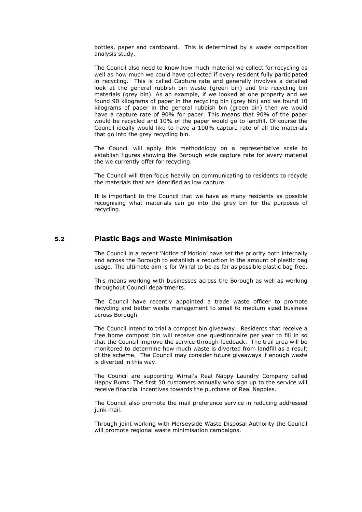bottles, paper and cardboard. This is determined by a waste composition analysis study.

The Council also need to know how much material we collect for recycling as well as how much we could have collected if every resident fully participated in recycling. This is called Capture rate and generally involves a detailed look at the general rubbish bin waste (green bin) and the recycling bin materials (grey bin). As an example, if we looked at one property and we found 90 kilograms of paper in the recycling bin (grey bin) and we found 10 kilograms of paper in the general rubbish bin (green bin) then we would have a capture rate of 90% for paper. This means that 90% of the paper would be recycled and 10% of the paper would go to landfill. Of course the Council ideally would like to have a 100% capture rate of all the materials that go into the grey recycling bin.

The Council will apply this methodology on a representative scale to establish figures showing the Borough wide capture rate for every material the we currently offer for recycling.

The Council will then focus heavily on communicating to residents to recycle the materials that are identified as low capture.

It is important to the Council that we have as many residents as possible recognising what materials can go into the grey bin for the purposes of recycling.

### **Plastic Bags and Waste Minimisation**  $5.2$

The Council in a recent 'Notice of Motion' have set the priority both internally and across the Borough to establish a reduction in the amount of plastic bag usage. The ultimate aim is for Wirral to be as far as possible plastic bag free.

This means working with businesses across the Borough as well as working throughout Council departments.

The Council have recently appointed a trade waste officer to promote recycling and better waste management to small to medium sized business across Borough.

The Council intend to trial a compost bin giveaway. Residents that receive a free home compost bin will receive one questionnaire per year to fill in so that the Council improve the service through feedback. The trail area will be monitored to determine how much waste is diverted from landfill as a result of the scheme. The Council may consider future giveaways if enough waste is diverted in this way.

The Council are supporting Wirral's Real Nappy Laundry Company called Happy Bums. The first 50 customers annually who sign up to the service will receive financial incentives towards the purchase of Real Nappies.

The Council also promote the mail preference service in reducing addressed junk mail.

Through joint working with Merseyside Waste Disposal Authority the Council will promote regional waste minimisation campaigns.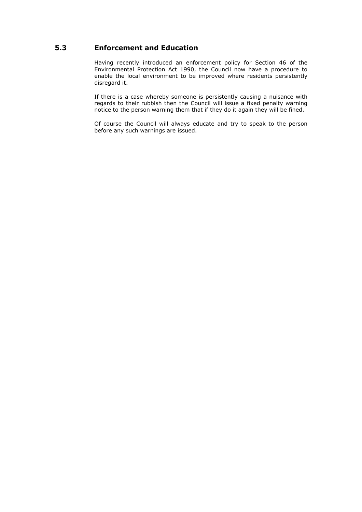### **Enforcement and Education**  $5.3$

Having recently introduced an enforcement policy for Section 46 of the Environmental Protection Act 1990, the Council now have a procedure to enable the local environment to be improved where residents persistently disregard it.

If there is a case whereby someone is persistently causing a nuisance with regards to their rubbish then the Council will issue a fixed penalty warning notice to the person warning them that if they do it again they will be fined.

Of course the Council will always educate and try to speak to the person before any such warnings are issued.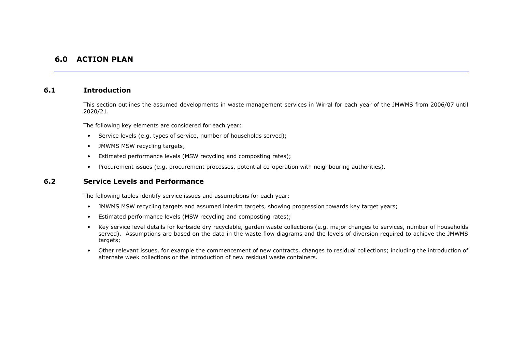## **6.0 ACTION PLAN**

### **Introduction**  $6.1$

This section outlines the assumed developments in waste management services in Wirral for each year of the JMWMS from 2006/07 until 2020/21.

The following key elements are considered for each year:

- Service levels (e.g. types of service, number of households served);
- JMWMS MSW recycling targets;
- Estimated performance levels (MSW recycling and composting rates):  $\bullet$
- Procurement issues (e.g. procurement processes, potential co-operation with neighbouring authorities).  $\bullet$

### $6.2$ **Service Levels and Performance**

The following tables identify service issues and assumptions for each year:

- . JMWMS MSW recycling targets and assumed interim targets, showing progression towards key target years;
- Estimated performance levels (MSW recycling and composting rates);
- Key service level details for kerbside dry recyclable, garden waste collections (e.g. major changes to services, number of households served). Assumptions are based on the data in the waste flow diagrams and the levels of diversion required to achieve the JMWMS targets;
- Other relevant issues, for example the commencement of new contracts, changes to residual collections; including the introduction of alternate week collections or the introduction of new residual waste containers.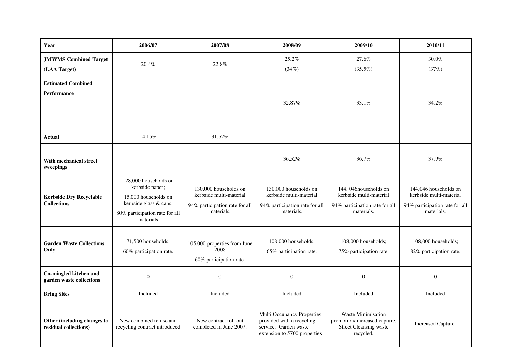| Year                                                 | 2006/07                                                                                                                                   | 2007/08                                                                                          | 2008/09                                                                                                          | 2009/10                                                                                          | 2010/11                                                                                          |
|------------------------------------------------------|-------------------------------------------------------------------------------------------------------------------------------------------|--------------------------------------------------------------------------------------------------|------------------------------------------------------------------------------------------------------------------|--------------------------------------------------------------------------------------------------|--------------------------------------------------------------------------------------------------|
| <b>JMWMS Combined Target</b><br>(LAA Target)         | $20.4\%$                                                                                                                                  | 22.8%                                                                                            | 25.2%<br>(34%)                                                                                                   | 27.6%<br>$(35.5\%)$                                                                              | 30.0%<br>(37%)                                                                                   |
| <b>Estimated Combined</b><br><b>Performance</b>      |                                                                                                                                           |                                                                                                  | 32.87%                                                                                                           | 33.1%                                                                                            | 34.2%                                                                                            |
| <b>Actual</b>                                        | 14.15%                                                                                                                                    | 31.52%                                                                                           |                                                                                                                  |                                                                                                  |                                                                                                  |
| With mechanical street<br>sweepings                  |                                                                                                                                           |                                                                                                  | 36.52%                                                                                                           | 36.7%                                                                                            | 37.9%                                                                                            |
| <b>Kerbside Dry Recyclable</b><br><b>Collections</b> | 128,000 households on<br>kerbside paper;<br>15,000 households on<br>kerbside glass & cans;<br>80% participation rate for all<br>materials | 130,000 households on<br>kerbside multi-material<br>94% participation rate for all<br>materials. | 130,000 households on<br>kerbside multi-material<br>94% participation rate for all<br>materials.                 | 144, 046households on<br>kerbside multi-material<br>94% participation rate for all<br>materials. | 144,046 households on<br>kerbside multi-material<br>94% participation rate for all<br>materials. |
| <b>Garden Waste Collections</b><br>Only              | 71,500 households;<br>60% participation rate.                                                                                             | 105,000 properties from June<br>2008<br>60% participation rate.                                  | 108,000 households;<br>65% participation rate.                                                                   | 108,000 households;<br>75% participation rate.                                                   | 108,000 households;<br>82% participation rate.                                                   |
| Co-mingled kitchen and<br>garden waste collections   | $\boldsymbol{0}$                                                                                                                          | $\boldsymbol{0}$                                                                                 | $\overline{0}$                                                                                                   | $\overline{0}$                                                                                   | $\boldsymbol{0}$                                                                                 |
| <b>Bring Sites</b>                                   | Included                                                                                                                                  | Included                                                                                         | Included                                                                                                         | Included                                                                                         | Included                                                                                         |
| Other (including changes to<br>residual collections) | New combined refuse and<br>recycling contract introduced                                                                                  | New contract roll out<br>completed in June 2007.                                                 | Multi Occupancy Properties<br>provided with a recycling<br>service. Garden waste<br>extension to 5700 properties | Waste Minimisation<br>promotion/increased capture.<br><b>Street Cleansing waste</b><br>recycled. | <b>Increased Capture-</b>                                                                        |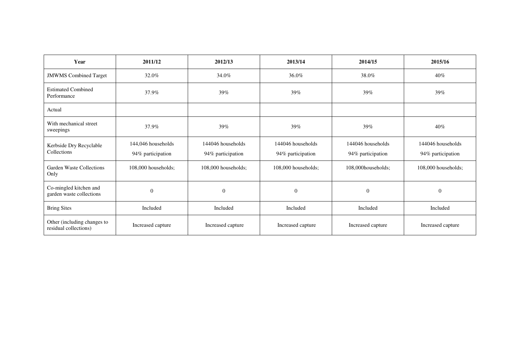| Year                                                 | 2011/12                                 | 2012/13                                | 2013/14                                | 2014/15                                | 2015/16                                |
|------------------------------------------------------|-----------------------------------------|----------------------------------------|----------------------------------------|----------------------------------------|----------------------------------------|
| <b>JMWMS</b> Combined Target                         | 32.0%                                   | 34.0%                                  | 36.0%                                  | 38.0%                                  | 40%                                    |
| <b>Estimated Combined</b><br>Performance             | 37.9%                                   | 39%                                    | 39%                                    | 39%                                    | 39%                                    |
| Actual                                               |                                         |                                        |                                        |                                        |                                        |
| With mechanical street<br>sweepings                  | 37.9%                                   | 39%                                    | 39%                                    | 39%                                    | 40%                                    |
| Kerbside Dry Recyclable<br>Collections               | 144,046 households<br>94% participation | 144046 households<br>94% participation | 144046 households<br>94% participation | 144046 households<br>94% participation | 144046 households<br>94% participation |
| Garden Waste Collections<br>Only                     | 108,000 households;                     | 108,000 households;                    | 108,000 households;                    | 108,000households;                     | 108,000 households;                    |
| Co-mingled kitchen and<br>garden waste collections   | $\overline{0}$                          | $\theta$                               | $\theta$                               | $\theta$                               | $\mathbf{0}$                           |
| <b>Bring Sites</b>                                   | Included                                | Included                               | Included                               | Included                               | Included                               |
| Other (including changes to<br>residual collections) | Increased capture                       | Increased capture                      | Increased capture                      | Increased capture                      | Increased capture                      |